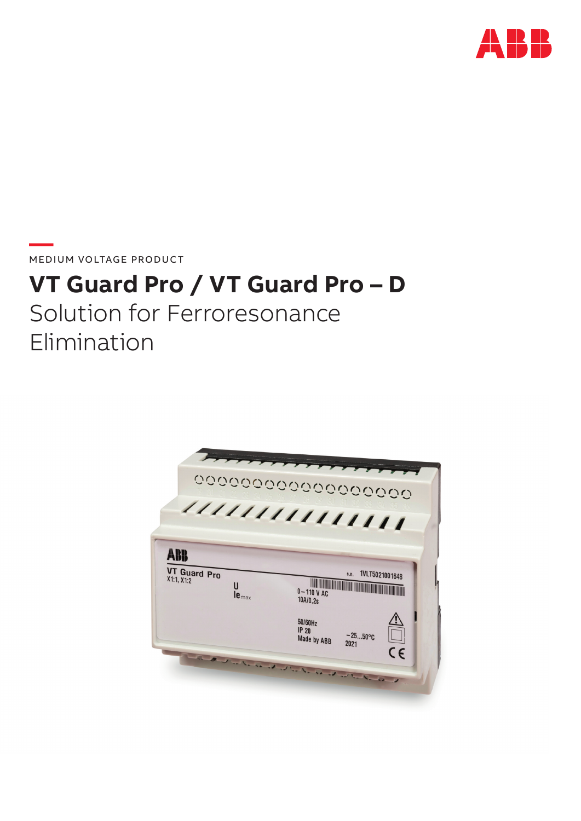

**—**  MEDIUM VOLTAGE PRODUCT

# **VT Guard Pro / VT Guard Pro – D**

Solution for Ferroresonance Elimination

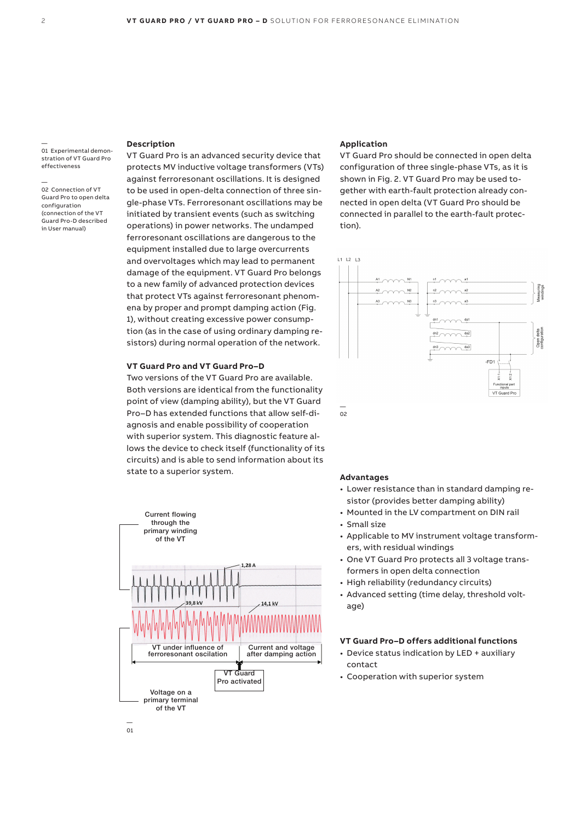— 01 Experimental demonstration of VT Guard Pro effectiveness

— 02 Connection of VT Guard Pro to open delta configuration (connection of the VT Guard Pro-D described in User manual)

# **Description**

VT Guard Pro is an advanced security device that protects MV inductive voltage transformers (VTs) against ferroresonant oscillations. It is designed to be used in open-delta connection of three single-phase VTs. Ferroresonant oscillations may be initiated by transient events (such as switching operations) in power networks. The undamped ferroresonant oscillations are dangerous to the equipment installed due to large overcurrents and overvoltages which may lead to permanent damage of the equipment. VT Guard Pro belongs to a new family of advanced protection devices that protect VTs against ferroresonant phenomena by proper and prompt damping action (Fig. 1), without creating excessive power consumption (as in the case of using ordinary damping resistors) during normal operation of the network.

## **VT Guard Pro and VT Guard Pro–D**

Two versions of the VT Guard Pro are available. Both versions are identical from the functionality point of view (damping ability), but the VT Guard Pro–D has extended functions that allow self-diagnosis and enable possibility of cooperation with superior system. This diagnostic feature allows the device to check itself (functionality of its circuits) and is able to send information about its state to a superior system.



## **Application**

VT Guard Pro should be connected in open delta configuration of three single-phase VTs, as it is shown in Fig. 2. VT Guard Pro may be used together with earth-fault protection already connected in open delta (VT Guard Pro should be connected in parallel to the earth-fault protection).



#### **Advantages**

- Lower resistance than in standard damping resistor (provides better damping ability)
- Mounted in the LV compartment on DIN rail
- Small size
- Applicable to MV instrument voltage transformers, with residual windings
- One VT Guard Pro protects all 3 voltage transformers in open delta connection
- High reliability (redundancy circuits)
- Advanced setting (time delay, threshold voltage)

## **VT Guard Pro–D offers additional functions**

- Device status indication by LED + auxiliary contact
- Cooperation with superior system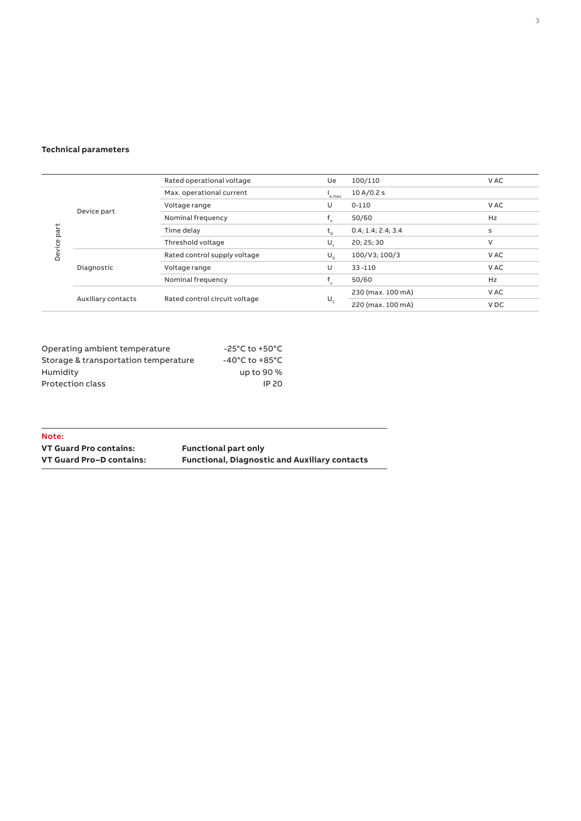# **Technical parameters**

| Device part | Device part        | Rated operational voltage     | Ue             | 100/110            | V AC            |
|-------------|--------------------|-------------------------------|----------------|--------------------|-----------------|
|             |                    | Max. operational current      | e,max          | 10 A/0.2 s         |                 |
|             |                    | Voltage range                 | U              | $0 - 110$          | V AC            |
|             |                    | Nominal frequency             | $n_{\rm n}$    | 50/60              | Hz              |
|             |                    | Time delay                    | t <sub>a</sub> | 0.4; 1.4; 2.4; 3.4 | s               |
|             |                    | Threshold voltage             | U              | 20: 25: 30         | V               |
|             | Diagnostic         | Rated control supply voltage  | $U_{\rm c}$    | 100/V3; 100/3      | V AC            |
|             |                    | Voltage range                 | U              | $33 - 110$         | V AC            |
|             |                    | Nominal frequency             | f,             | 50/60              | <b>Hz</b>       |
|             | Auxiliary contacts | Rated control circuit voltage | $U_{c}$        | 230 (max. 100 mA)  | V AC            |
|             |                    |                               |                | 220 (max. 100 mA)  | V <sub>DC</sub> |

 $\overline{\phantom{0}}$ 

| Operating ambient temperature        | -25°C to +50°C                     |
|--------------------------------------|------------------------------------|
| Storage & transportation temperature | $-40^{\circ}$ C to $+85^{\circ}$ C |
| Humidity                             | up to 90 %                         |
| Protection class                     | IP 20                              |

| Note:                    |                                                      |
|--------------------------|------------------------------------------------------|
| VT Guard Pro contains:   | <b>Functional part only</b>                          |
| VT Guard Pro-D contains: | <b>Functional, Diagnostic and Auxiliary contacts</b> |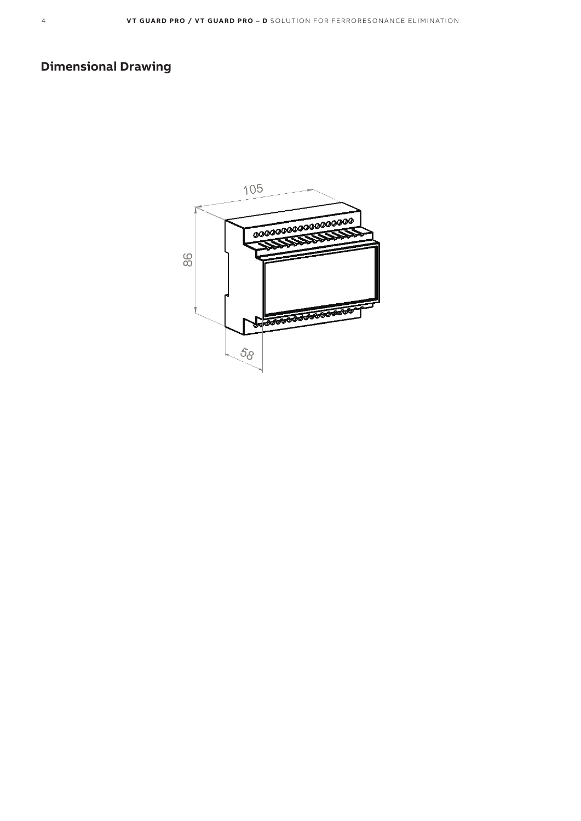# **Dimensional Drawing**